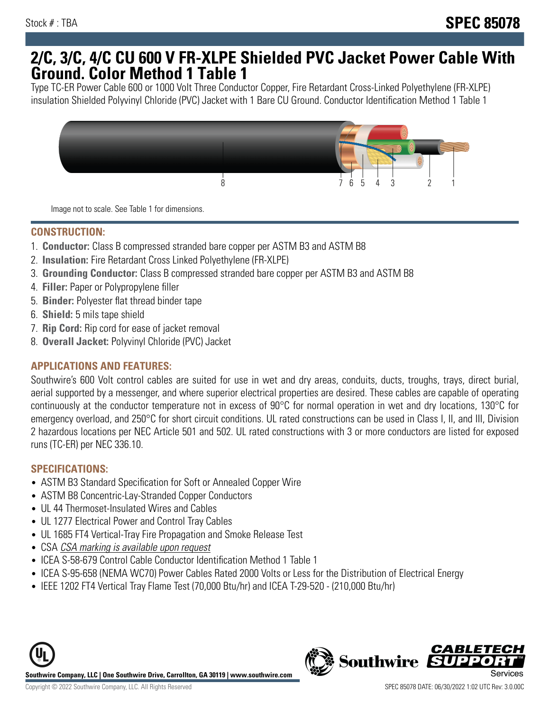## **2/C, 3/C, 4/C CU 600 V FR-XLPE Shielded PVC Jacket Power Cable With Ground. Color Method 1 Table 1**

Type TC-ER Power Cable 600 or 1000 Volt Three Conductor Copper, Fire Retardant Cross-Linked Polyethylene (FR-XLPE) insulation Shielded Polyvinyl Chloride (PVC) Jacket with 1 Bare CU Ground. Conductor Identification Method 1 Table 1



Image not to scale. See Table 1 for dimensions.

#### **CONSTRUCTION:**

- 1. **Conductor:** Class B compressed stranded bare copper per ASTM B3 and ASTM B8
- 2. **Insulation:** Fire Retardant Cross Linked Polyethylene (FR-XLPE)
- 3. **Grounding Conductor:** Class B compressed stranded bare copper per ASTM B3 and ASTM B8
- 4. **Filler:** Paper or Polypropylene filler
- 5. **Binder:** Polyester flat thread binder tape
- 6. **Shield:** 5 mils tape shield
- 7. **Rip Cord:** Rip cord for ease of jacket removal
- 8. **Overall Jacket:** Polyvinyl Chloride (PVC) Jacket

### **APPLICATIONS AND FEATURES:**

Southwire's 600 Volt control cables are suited for use in wet and dry areas, conduits, ducts, troughs, trays, direct burial, aerial supported by a messenger, and where superior electrical properties are desired. These cables are capable of operating continuously at the conductor temperature not in excess of 90°C for normal operation in wet and dry locations, 130°C for emergency overload, and 250°C for short circuit conditions. UL rated constructions can be used in Class I, II, and III, Division 2 hazardous locations per NEC Article 501 and 502. UL rated constructions with 3 or more conductors are listed for exposed runs (TC-ER) per NEC 336.10.

#### **SPECIFICATIONS:**

- ASTM B3 Standard Specification for Soft or Annealed Copper Wire
- ASTM B8 Concentric-Lay-Stranded Copper Conductors
- UL 44 Thermoset-Insulated Wires and Cables
- UL 1277 Electrical Power and Control Tray Cables
- UL 1685 FT4 Vertical-Tray Fire Propagation and Smoke Release Test
- CSA CSA marking is available upon request
- ICEA S-58-679 Control Cable Conductor Identification Method 1 Table 1
- ICEA S-95-658 (NEMA WC70) Power Cables Rated 2000 Volts or Less for the Distribution of Electrical Energy
- IEEE 1202 FT4 Vertical Tray Flame Test (70,000 Btu/hr) and ICEA T-29-520 (210,000 Btu/hr)



*CABLET*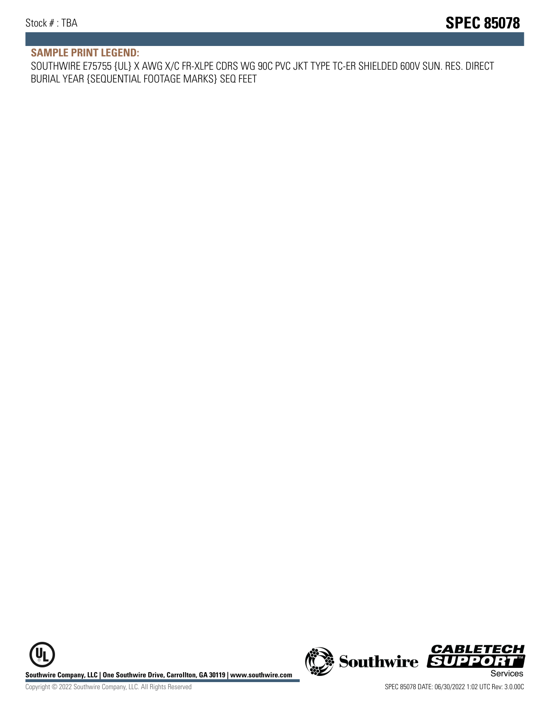#### **SAMPLE PRINT LEGEND:**

SOUTHWIRE E75755 {UL} X AWG X/C FR-XLPE CDRS WG 90C PVC JKT TYPE TC-ER SHIELDED 600V SUN. RES. DIRECT BURIAL YEAR {SEQUENTIAL FOOTAGE MARKS} SEQ FEET

UL **Southwire Company, LLC | One Southwire Drive, Carrollton, GA 30119 | www.southwire.com (New Southwire SUPPORTI**